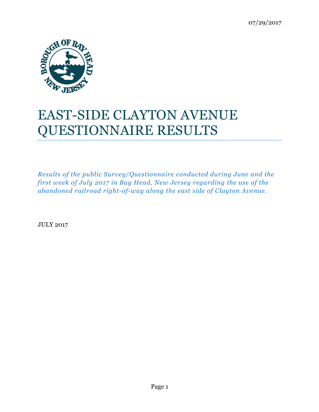

# EAST-SIDE CLAYTON AVENUE QUESTIONNAIRE RESULTS

*Results of the public Survey/Questionnaire conducted during June and the first week of July 2017 in Bay Head, New Jersey regarding the use of the abandoned railroad right-of-way along the east side of Clayton Avenue.*

JULY 2017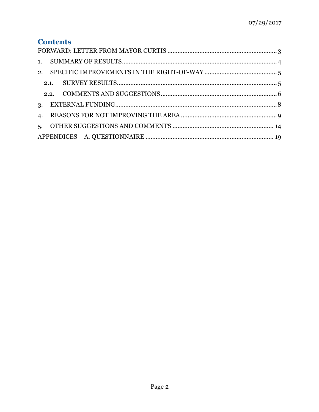## **Contents**

| 2. |      |  |  |  |
|----|------|--|--|--|
|    | 2.1. |  |  |  |
|    |      |  |  |  |
| 3. |      |  |  |  |
|    |      |  |  |  |
| 5. |      |  |  |  |
|    |      |  |  |  |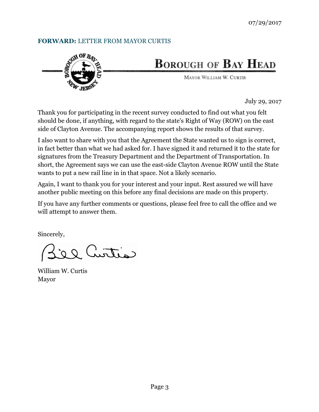#### **FORWARD:** LETTER FROM MAYOR CURTIS



## **BOROUGH OF BAY HEAD**

MAYOR WILLIAM W. CURTIS

July 29, 2017

Thank you for participating in the recent survey conducted to find out what you felt should be done, if anything, with regard to the state's Right of Way (ROW) on the east side of Clayton Avenue. The accompanying report shows the results of that survey.

I also want to share with you that the Agreement the State wanted us to sign is correct, in fact better than what we had asked for. I have signed it and returned it to the state for signatures from the Treasury Department and the Department of Transportation. In short, the Agreement says we can use the east-side Clayton Avenue ROW until the State wants to put a new rail line in in that space. Not a likely scenario.

Again, I want to thank you for your interest and your input. Rest assured we will have another public meeting on this before any final decisions are made on this property.

If you have any further comments or questions, please feel free to call the office and we will attempt to answer them.

Sincerely,

Cattrus

William W. Curtis Mayor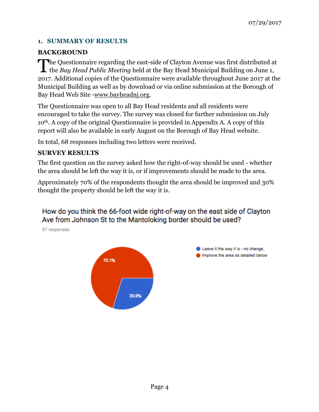#### **1. SUMMARY OF RESULTS**

#### **BACKGROUND**

The Questionnaire regarding the east-side of Clayton Avenue was first distributed at the Bay Head Public Meeting held at the Bay Head Municipal Building on June 1, the *Bay Head Public Meeting* held at the Bay Head Municipal Building on June 1, 2017. Additional copies of the Questionnaire were available throughout June 2017 at the Municipal Building as well as by download or via online submission at the Borough of Bay Head Web Site -www.bayheadnj.org.

The Questionnaire was open to all Bay Head residents and all residents were encouraged to take the survey. The survey was closed for further submission on July 10th. A copy of the original Questionnaire is provided in Appendix A. A copy of this report will also be available in early August on the Borough of Bay Head website.

In total, 68 responses including two letters were received.

#### **SURVEY RESULTS**

The first question on the survey asked how the right-of-way should be used - whether the area should be left the way it is, or if improvements should be made to the area.

Approximately 70% of the respondents thought the area should be improved and 30% thought the property should be left the way it is.

### How do you think the 66-foot wide right-of-way on the east side of Clayton Ave from Johnson St to the Mantoloking border should be used?

67 responses



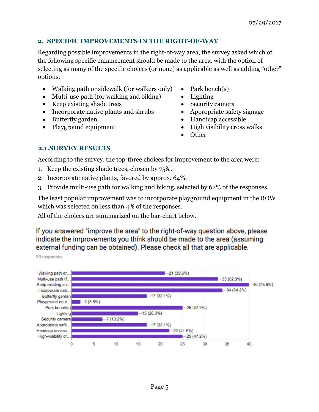#### **2. SPECIFIC IMPROVEMENTS IN THE RIGHT-OF-WAY**

Regarding possible improvements in the right-of-way area, the survey asked which of the following specific enhancement should be made to the area, with the option of selecting as many of the specific choices (or none) as applicable as well as adding "other" options.

- Walking path or sidewalk (for walkers only) Park bench(s)
- Multi-use path (for walking and biking) Lighting
- Keep existing shade trees Security camera
- Incorporate native plants and shrubs Appropriate safety signage
- 
- 
- 
- 
- 
- 
- Butterfly garden Handicap accessible
- Playground equipment High visibility cross walks
	- Other

#### **2.1.SURVEY RESULTS**

According to the survey, the top-three choices for improvement to the area were:

- 1. Keep the existing shade trees, chosen by 75%.
- 2. Incorporate native plants, favored by approx. 64%.
- 3. Provide multi-use path for walking and biking, selected by 62% of the responses.

The least popular improvement was to incorporate playground equipment in the ROW which was selected on less than 4% of the responses.

All of the choices are summarized on the bar-chart below.

If you answered "improve the area" to the right-of-way question above, please indicate the improvements you think should be made to the area (assuming external funding can be obtained). Please check all that are applicable.

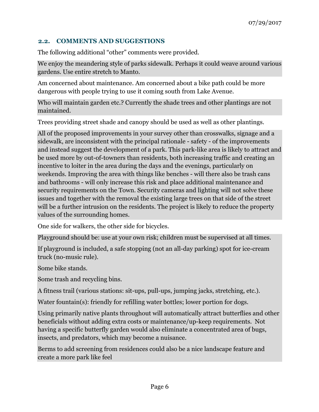#### **2.2. COMMENTS AND SUGGESTIONS**

The following additional "other" comments were provided.

We enjoy the meandering style of parks sidewalk. Perhaps it could weave around various gardens. Use entire stretch to Manto.

Am concerned about maintenance. Am concerned about a bike path could be more dangerous with people trying to use it coming south from Lake Avenue.

Who will maintain garden etc.? Currently the shade trees and other plantings are not maintained.

Trees providing street shade and canopy should be used as well as other plantings.

All of the proposed improvements in your survey other than crosswalks, signage and a sidewalk, are inconsistent with the principal rationale - safety - of the improvements and instead suggest the development of a park. This park-like area is likely to attract and be used more by out-of-towners than residents, both increasing traffic and creating an incentive to loiter in the area during the days and the evenings, particularly on weekends. Improving the area with things like benches - will there also be trash cans and bathrooms - will only increase this risk and place additional maintenance and security requirements on the Town. Security cameras and lighting will not solve these issues and together with the removal the existing large trees on that side of the street will be a further intrusion on the residents. The project is likely to reduce the property values of the surrounding homes.

One side for walkers, the other side for bicycles.

Playground should be: use at your own risk; children must be supervised at all times.

If playground is included, a safe stopping (not an all-day parking) spot for ice-cream truck (no-music rule).

Some bike stands.

Some trash and recycling bins.

A fitness trail (various stations: sit-ups, pull-ups, jumping jacks, stretching, etc.).

Water fountain(s): friendly for refilling water bottles; lower portion for dogs.

Using primarily native plants throughout will automatically attract butterflies and other beneficials without adding extra costs or maintenance/up-keep requirements. Not having a specific butterfly garden would also eliminate a concentrated area of bugs, insects, and predators, which may become a nuisance.

Berms to add screening from residences could also be a nice landscape feature and create a more park like feel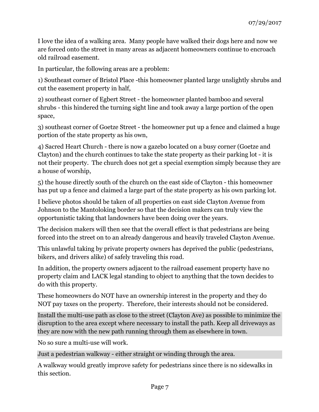I love the idea of a walking area. Many people have walked their dogs here and now we are forced onto the street in many areas as adjacent homeowners continue to encroach old railroad easement.

In particular, the following areas are a problem:

1) Southeast corner of Bristol Place -this homeowner planted large unslightly shrubs and cut the easement property in half,

2) southeast corner of Egbert Street - the homeowner planted bamboo and several shrubs - this hindered the turning sight line and took away a large portion of the open space,

3) southeast corner of Goetze Street - the homeowner put up a fence and claimed a huge portion of the state property as his own,

4) Sacred Heart Church - there is now a gazebo located on a busy corner (Goetze and Clayton) and the church continues to take the state property as their parking lot - it is not their property. The church does not get a special exemption simply because they are a house of worship,

5) the house directly south of the church on the east side of Clayton - this homeowner has put up a fence and claimed a large part of the state property as his own parking lot.

I believe photos should be taken of all properties on east side Clayton Avenue from Johnson to the Mantoloking border so that the decision makers can truly view the opportunistic taking that landowners have been doing over the years.

The decision makers will then see that the overall effect is that pedestrians are being forced into the street on to an already dangerous and heavily traveled Clayton Avenue.

This unlawful taking by private property owners has deprived the public (pedestrians, bikers, and drivers alike) of safely traveling this road.

In addition, the property owners adjacent to the railroad easement property have no property claim and LACK legal standing to object to anything that the town decides to do with this property.

These homeowners do NOT have an ownership interest in the property and they do NOT pay taxes on the property. Therefore, their interests should not be considered.

Install the multi-use path as close to the street (Clayton Ave) as possible to minimize the disruption to the area except where necessary to install the path. Keep all driveways as they are now with the new path running through them as elsewhere in town.

No so sure a multi-use will work.

Just a pedestrian walkway - either straight or winding through the area.

A walkway would greatly improve safety for pedestrians since there is no sidewalks in this section.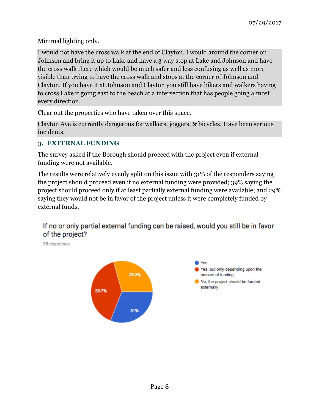Minimal lighting only.

I would not have the cross walk at the end of Clayton. I would around the corner on Johnson and bring it up to Lake and have a 3 way stop at Lake and Johnson and have the cross walk there which would be much safer and less confusing as well as more visible than trying to have the cross walk and stops at the corner of Johnson and Clayton. If you have it at Johnson and Clayton you still have bikers and walkers having to cross Lake if going east to the beach at a intersection that has people going almost every direction.

Clear out the properties who have taken over this space.

Clayton Ave is currently dangerous for walkers, joggers, & bicycles. Have been serious incidents.

#### **3. EXTERNAL FUNDING**

The survey asked if the Borough should proceed with the project even if external funding were not available.

The results were relatively evenly split on this issue with 31% of the responders saying the project should proceed even if no external funding were provided; 39% saying the project should proceed only if at least partially external funding were available; and 29% saying they would not be in favor of the project unless it were completely funded by external funds.

## If no or only partial external funding can be raised, would you still be in favor of the project?

58 responses

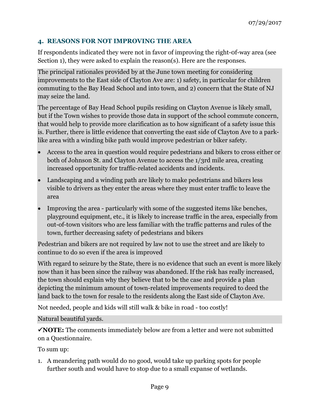#### **4. REASONS FOR NOT IMPROVING THE AREA**

If respondents indicated they were not in favor of improving the right-0f-way area (see Section 1), they were asked to explain the reason(s). Here are the responses.

The principal rationales provided by at the June town meeting for considering improvements to the East side of Clayton Ave are: 1) safety, in particular for children commuting to the Bay Head School and into town, and 2) concern that the State of NJ may seize the land.

The percentage of Bay Head School pupils residing on Clayton Avenue is likely small, but if the Town wishes to provide those data in support of the school commute concern, that would help to provide more clarification as to how significant of a safety issue this is. Further, there is little evidence that converting the east side of Clayton Ave to a parklike area with a winding bike path would improve pedestrian or biker safety.

- Access to the area in question would require pedestrians and bikers to cross either or both of Johnson St. and Clayton Avenue to access the 1/3rd mile area, creating increased opportunity for traffic-related accidents and incidents.
- Landscaping and a winding path are likely to make pedestrians and bikers less visible to drivers as they enter the areas where they must enter traffic to leave the area
- Improving the area particularly with some of the suggested items like benches, playground equipment, etc., it is likely to increase traffic in the area, especially from out-of-town visitors who are less familiar with the traffic patterns and rules of the town, further decreasing safety of pedestrians and bikers

Pedestrian and bikers are not required by law not to use the street and are likely to continue to do so even if the area is improved

With regard to seizure by the State, there is no evidence that such an event is more likely now than it has been since the railway was abandoned. If the risk has really increased, the town should explain why they believe that to be the case and provide a plan depicting the minimum amount of town-related improvements required to deed the land back to the town for resale to the residents along the East side of Clayton Ave.

Not needed, people and kids will still walk & bike in road - too costly!

Natural beautiful yards.

ü**NOTE:** The comments immediately below are from a letter and were not submitted on a Questionnaire.

To sum up:

1. A meandering path would do no good, would take up parking spots for people further south and would have to stop due to a small expanse of wetlands.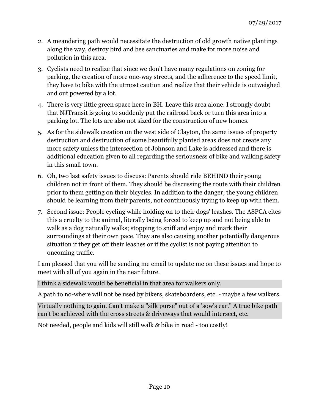- 2. A meandering path would necessitate the destruction of old growth native plantings along the way, destroy bird and bee sanctuaries and make for more noise and pollution in this area.
- 3. Cyclists need to realize that since we don't have many regulations on zoning for parking, the creation of more one-way streets, and the adherence to the speed limit, they have to bike with the utmost caution and realize that their vehicle is outweighed and out powered by a lot.
- 4. There is very little green space here in BH. Leave this area alone. I strongly doubt that NJTransit is going to suddenly put the railroad back or turn this area into a parking lot. The lots are also not sized for the construction of new homes.
- 5. As for the sidewalk creation on the west side of Clayton, the same issues of property destruction and destruction of some beautifully planted areas does not create any more safety unless the intersection of Johnson and Lake is addressed and there is additional education given to all regarding the seriousness of bike and walking safety in this small town.
- 6. Oh, two last safety issues to discuss: Parents should ride BEHIND their young children not in front of them. They should be discussing the route with their children prior to them getting on their bicycles. In addition to the danger, the young children should be learning from their parents, not continuously trying to keep up with them.
- 7. Second issue: People cycling while holding on to their dogs' leashes. The ASPCA cites this a cruelty to the animal, literally being forced to keep up and not being able to walk as a dog naturally walks; stopping to sniff and enjoy and mark their surroundings at their own pace. They are also causing another potentially dangerous situation if they get off their leashes or if the cyclist is not paying attention to oncoming traffic.

I am pleased that you will be sending me email to update me on these issues and hope to meet with all of you again in the near future.

I think a sidewalk would be beneficial in that area for walkers only.

A path to no-where will not be used by bikers, skateboarders, etc. - maybe a few walkers.

Virtually nothing to gain. Can't make a "silk purse" out of a 'sow's ear." A true bike path can't be achieved with the cross streets & driveways that would intersect, etc.

Not needed, people and kids will still walk & bike in road - too costly!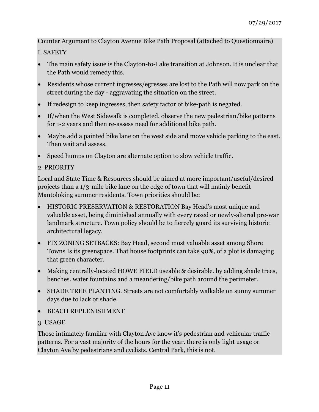Counter Argument to Clayton Avenue Bike Path Proposal (attached to Questionnaire)

I. SAFETY

- The main safety issue is the Clayton-to-Lake transition at Johnson. It is unclear that the Path would remedy this.
- Residents whose current ingresses/egresses are lost to the Path will now park on the street during the day - aggravating the situation on the street.
- If redesign to keep ingresses, then safety factor of bike-path is negated.
- If/when the West Sidewalk is completed, observe the new pedestrian/bike patterns for 1-2 years and then re-assess need for additional bike path.
- Maybe add a painted bike lane on the west side and move vehicle parking to the east. Then wait and assess.
- Speed humps on Clayton are alternate option to slow vehicle traffic.

#### 2. PRIORITY

Local and State Time & Resources should be aimed at more important/useful/desired projects than a 1/3-mile bike lane on the edge of town that will mainly benefit Mantoloking summer residents. Town priorities should be:

- HISTORIC PRESERVATION & RESTORATION Bay Head's most unique and valuable asset, being diminished annually with every razed or newly-altered pre-war landmark structure. Town policy should be to fiercely guard its surviving historic architectural legacy.
- FIX ZONING SETBACKS: Bay Head, second most valuable asset among Shore Towns Is its greenspace. That house footprints can take 90%, of a plot is damaging that green character.
- Making centrally-located HOWE FIELD useable & desirable. by adding shade trees, benches. water fountains and a meandering/bike path around the perimeter.
- SHADE TREE PLANTING. Streets are not comfortably walkable on sunny summer days due to lack or shade.
- BEACH REPLENISHMENT

#### 3. USAGE

Those intimately familiar with Clayton Ave know it's pedestrian and vehicular traffic patterns. For a vast majority of the hours for the year. there is only light usage or Clayton Ave by pedestrians and cyclists. Central Park, this is not.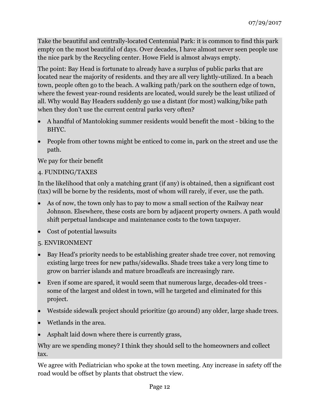Take the beautiful and centrally-located Centennial Park: it is common to find this park empty on the most beautiful of days. Over decades, I have almost never seen people use the nice park by the Recycling center. Howe Field is almost always empty.

The point: Bay Head is fortunate to already have a surplus of public parks that are located near the majority of residents. and they are all very lightly-utilized. In a beach town, people often go to the beach. A walking path/park on the southern edge of town, where the fewest year-round residents are located, would surely be the least utilized of all. Why would Bay Headers suddenly go use a distant (for most) walking/bike path when they don't use the current central parks very often?

- A handful of Mantoloking summer residents would benefit the most biking to the BHYC.
- People from other towns might be enticed to come in, park on the street and use the path.

We pay for their benefit

#### 4. FUNDING/TAXES

In the likelihood that only a matching grant (if any) is obtained, then a significant cost (tax) will be borne by the residents, most of whom will rarely, if ever, use the path.

- As of now, the town only has to pay to mow a small section of the Railway near Johnson. Elsewhere, these costs are born by adjacent property owners. A path would shift perpetual landscape and maintenance costs to the town taxpayer.
- Cost of potential lawsuits
- 5. ENVIRONMENT
- Bay Head's priority needs to be establishing greater shade tree cover, not removing existing large trees for new paths/sidewalks. Shade trees take a very long time to grow on barrier islands and mature broadleafs are increasingly rare.
- Even if some are spared, it would seem that numerous large, decades-old trees some of the largest and oldest in town, will he targeted and eliminated for this project.
- Westside sidewalk project should prioritize (go around) any older, large shade trees.
- Wetlands in the area.
- Asphalt laid down where there is currently grass,

Why are we spending money? I think they should sell to the homeowners and collect tax.

We agree with Pediatrician who spoke at the town meeting. Any increase in safety off the road would be offset by plants that obstruct the view.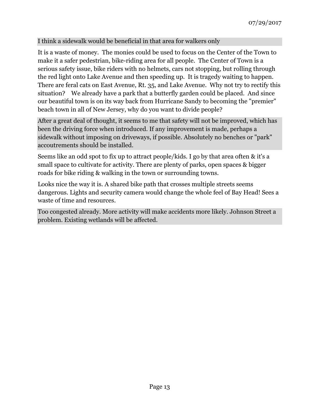#### I think a sidewalk would be beneficial in that area for walkers only

It is a waste of money. The monies could be used to focus on the Center of the Town to make it a safer pedestrian, bike-riding area for all people. The Center of Town is a serious safety issue, bike riders with no helmets, cars not stopping, but rolling through the red light onto Lake Avenue and then speeding up. It is tragedy waiting to happen. There are feral cats on East Avenue, Rt. 35, and Lake Avenue. Why not try to rectify this situation? We already have a park that a butterfly garden could be placed. And since our beautiful town is on its way back from Hurricane Sandy to becoming the "premier" beach town in all of New Jersey, why do you want to divide people?

After a great deal of thought, it seems to me that safety will not be improved, which has been the driving force when introduced. If any improvement is made, perhaps a sidewalk without imposing on driveways, if possible. Absolutely no benches or "park" accoutrements should be installed.

Seems like an odd spot to fix up to attract people/kids. I go by that area often & it's a small space to cultivate for activity. There are plenty of parks, open spaces & bigger roads for bike riding & walking in the town or surrounding towns.

Looks nice the way it is. A shared bike path that crosses multiple streets seems dangerous. Lights and security camera would change the whole feel of Bay Head! Sees a waste of time and resources.

Too congested already. More activity will make accidents more likely. Johnson Street a problem. Existing wetlands will be affected.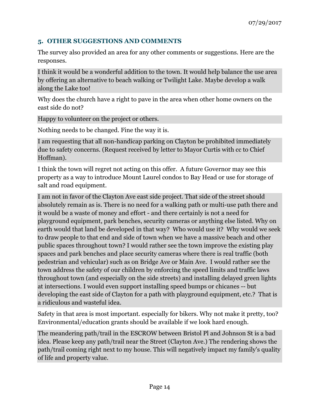#### **5. OTHER SUGGESTIONS AND COMMENTS**

The survey also provided an area for any other comments or suggestions. Here are the responses.

I think it would be a wonderful addition to the town. It would help balance the use area by offering an alternative to beach walking or Twilight Lake. Maybe develop a walk along the Lake too!

Why does the church have a right to pave in the area when other home owners on the east side do not?

Happy to volunteer on the project or others.

Nothing needs to be changed. Fine the way it is.

I am requesting that all non-handicap parking on Clayton be prohibited immediately due to safety concerns. (Request received by letter to Mayor Curtis with cc to Chief Hoffman).

I think the town will regret not acting on this offer. A future Governor may see this property as a way to introduce Mount Laurel condos to Bay Head or use for storage of salt and road equipment.

I am not in favor of the Clayton Ave east side project. That side of the street should absolutely remain as is. There is no need for a walking path or multi-use path there and it would be a waste of money and effort - and there certainly is not a need for playground equipment, park benches, security cameras or anything else listed. Why on earth would that land be developed in that way? Who would use it? Why would we seek to draw people to that end and side of town when we have a massive beach and other public spaces throughout town? I would rather see the town improve the existing play spaces and park benches and place security cameras where there is real traffic (both pedestrian and vehicular) such as on Bridge Ave or Main Ave. I would rather see the town address the safety of our children by enforcing the speed limits and traffic laws throughout town (and especially on the side streets) and installing delayed green lights at intersections. I would even support installing speed bumps or chicanes -- but developing the east side of Clayton for a path with playground equipment, etc.? That is a ridiculous and wasteful idea.

Safety in that area is most important. especially for bikers. Why not make it pretty, too? Environmental/education grants should be available if we look hard enough.

The meandering path/trail in the ESCROW between Bristol Pl and Johnson St is a bad idea. Please keep any path/trail near the Street (Clayton Ave.) The rendering shows the path/trail coming right next to my house. This will negatively impact my family's quality of life and property value.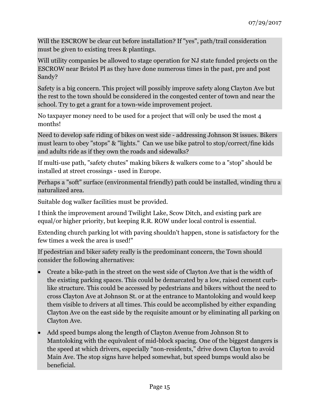Will the ESCROW be clear cut before installation? If "yes", path/trail consideration must be given to existing trees & plantings.

Will utility companies be allowed to stage operation for NJ state funded projects on the ESCROW near Bristol Pl as they have done numerous times in the past, pre and post Sandy?

Safety is a big concern. This project will possibly improve safety along Clayton Ave but the rest to the town should be considered in the congested center of town and near the school. Try to get a grant for a town-wide improvement project.

No taxpayer money need to be used for a project that will only be used the most 4 months!

Need to develop safe riding of bikes on west side - addressing Johnson St issues. Bikers must learn to obey "stops" & "lights." Can we use bike patrol to stop/correct/fine kids and adults ride as if they own the roads and sidewalks?

If multi-use path, "safety chutes" making bikers & walkers come to a "stop" should be installed at street crossings - used in Europe.

Perhaps a "soft" surface (environmental friendly) path could be installed, winding thru a naturalized area.

Suitable dog walker facilities must be provided.

I think the improvement around Twilight Lake, Scow Ditch, and existing park are equal/or higher priority, but keeping R.R. ROW under local control is essential.

Extending church parking lot with paving shouldn't happen, stone is satisfactory for the few times a week the area is used!"

If pedestrian and biker safety really is the predominant concern, the Town should consider the following alternatives:

- Create a bike-path in the street on the west side of Clayton Ave that is the width of the existing parking spaces. This could be demarcated by a low, raised cement curblike structure. This could be accessed by pedestrians and bikers without the need to cross Clayton Ave at Johnson St. or at the entrance to Mantoloking and would keep them visible to drivers at all times. This could be accomplished by either expanding Clayton Ave on the east side by the requisite amount or by eliminating all parking on Clayton Ave.
- Add speed bumps along the length of Clayton Avenue from Johnson St to Mantoloking with the equivalent of mid-block spacing. One of the biggest dangers is the speed at which drivers, especially "non-residents," drive down Clayton to avoid Main Ave. The stop signs have helped somewhat, but speed bumps would also be beneficial.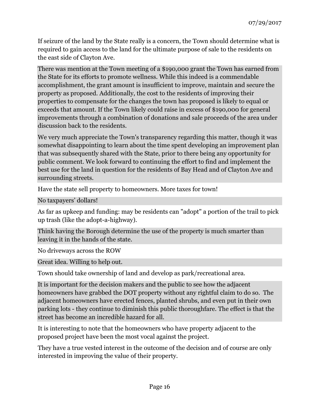If seizure of the land by the State really is a concern, the Town should determine what is required to gain access to the land for the ultimate purpose of sale to the residents on the east side of Clayton Ave.

There was mention at the Town meeting of a \$190,000 grant the Town has earned from the State for its efforts to promote wellness. While this indeed is a commendable accomplishment, the grant amount is insufficient to improve, maintain and secure the property as proposed. Additionally, the cost to the residents of improving their properties to compensate for the changes the town has proposed is likely to equal or exceeds that amount. If the Town likely could raise in excess of \$190,000 for general improvements through a combination of donations and sale proceeds of the area under discussion back to the residents.

We very much appreciate the Town's transparency regarding this matter, though it was somewhat disappointing to learn about the time spent developing an improvement plan that was subsequently shared with the State, prior to there being any opportunity for public comment. We look forward to continuing the effort to find and implement the best use for the land in question for the residents of Bay Head and of Clayton Ave and surrounding streets.

Have the state sell property to homeowners. More taxes for town!

No taxpayers' dollars!

As far as upkeep and funding: may be residents can "adopt" a portion of the trail to pick up trash (like the adopt-a-highway).

Think having the Borough determine the use of the property is much smarter than leaving it in the hands of the state.

No driveways across the ROW

Great idea. Willing to help out.

Town should take ownership of land and develop as park/recreational area.

It is important for the decision makers and the public to see how the adjacent homeowners have grabbed the DOT property without any rightful claim to do so. The adjacent homeowners have erected fences, planted shrubs, and even put in their own parking lots - they continue to diminish this public thoroughfare. The effect is that the street has become an incredible hazard for all.

It is interesting to note that the homeowners who have property adjacent to the proposed project have been the most vocal against the project.

They have a true vested interest in the outcome of the decision and of course are only interested in improving the value of their property.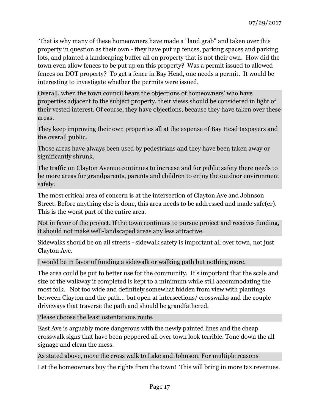That is why many of these homeowners have made a "land grab" and taken over this property in question as their own - they have put up fences, parking spaces and parking lots, and planted a landscaping buffer all on property that is not their own. How did the town even allow fences to be put up on this property? Was a permit issued to allowed fences on DOT property? To get a fence in Bay Head, one needs a permit. It would be interesting to investigate whether the permits were issued.

Overall, when the town council hears the objections of homeowners' who have properties adjacent to the subject property, their views should be considered in light of their vested interest. Of course, they have objections, because they have taken over these areas.

They keep improving their own properties all at the expense of Bay Head taxpayers and the overall public.

Those areas have always been used by pedestrians and they have been taken away or significantly shrunk.

The traffic on Clayton Avenue continues to increase and for public safety there needs to be more areas for grandparents, parents and children to enjoy the outdoor environment safely.

The most critical area of concern is at the intersection of Clayton Ave and Johnson Street. Before anything else is done, this area needs to be addressed and made safe(er). This is the worst part of the entire area.

Not in favor of the project. If the town continues to pursue project and receives funding, it should not make well-landscaped areas any less attractive.

Sidewalks should be on all streets - sidewalk safety is important all over town, not just Clayton Ave.

I would be in favor of funding a sidewalk or walking path but nothing more.

The area could be put to better use for the community. It's important that the scale and size of the walkway if completed is kept to a minimum while still accommodating the most folk. Not too wide and definitely somewhat hidden from view with plantings between Clayton and the path... but open at intersections/ crosswalks and the couple driveways that traverse the path and should be grandfathered.

Please choose the least ostentatious route.

East Ave is arguably more dangerous with the newly painted lines and the cheap crosswalk signs that have been peppered all over town look terrible. Tone down the all signage and clean the mess.

As stated above, move the cross walk to Lake and Johnson. For multiple reasons

Let the homeowners buy the rights from the town! This will bring in more tax revenues.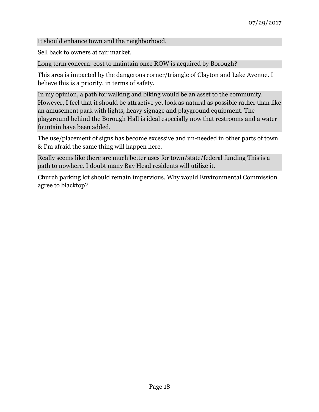It should enhance town and the neighborhood.

Sell back to owners at fair market.

Long term concern: cost to maintain once ROW is acquired by Borough?

This area is impacted by the dangerous corner/triangle of Clayton and Lake Avenue. I believe this is a priority, in terms of safety.

In my opinion, a path for walking and biking would be an asset to the community. However, I feel that it should be attractive yet look as natural as possible rather than like an amusement park with lights, heavy signage and playground equipment. The playground behind the Borough Hall is ideal especially now that restrooms and a water fountain have been added.

The use/placement of signs has become excessive and un-needed in other parts of town & I'm afraid the same thing will happen here.

Really seems like there are much better uses for town/state/federal funding This is a path to nowhere. I doubt many Bay Head residents will utilize it.

Church parking lot should remain impervious. Why would Environmental Commission agree to blacktop?